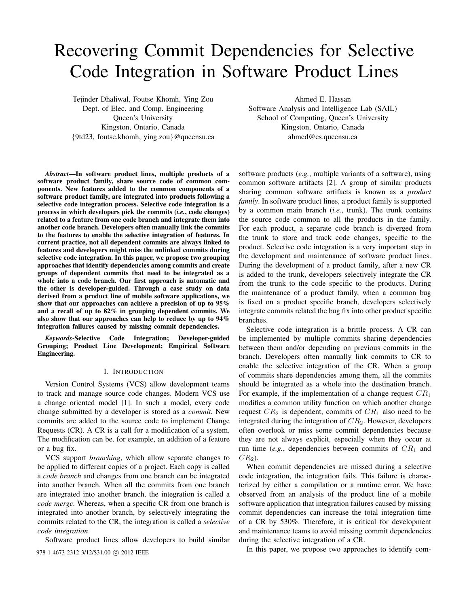# Recovering Commit Dependencies for Selective Code Integration in Software Product Lines

Tejinder Dhaliwal, Foutse Khomh, Ying Zou Dept. of Elec. and Comp. Engineering Queen's University Kingston, Ontario, Canada {9td23, foutse.khomh, ying.zou}@queensu.ca

*Abstract*—In software product lines, multiple products of a software product family, share source code of common components. New features added to the common components of a software product family, are integrated into products following a selective code integration process. Selective code integration is a process in which developers pick the commits (*i.e.*, code changes) related to a feature from one code branch and integrate them into another code branch. Developers often manually link the commits to the features to enable the selective integration of features. In current practice, not all dependent commits are always linked to features and developers might miss the unlinked commits during selective code integration. In this paper, we propose two grouping approaches that identify dependencies among commits and create groups of dependent commits that need to be integrated as a whole into a code branch. Our first approach is automatic and the other is developer-guided. Through a case study on data derived from a product line of mobile software applications, we show that our approaches can achieve a precision of up to 95% and a recall of up to 82% in grouping dependent commits. We also show that our approaches can help to reduce by up to 94% integration failures caused by missing commit dependencies.

*Keywords*-Selective Code Integration; Developer-guided Grouping; Product Line Development; Empirical Software Engineering.

#### I. INTRODUCTION

Version Control Systems (VCS) allow development teams to track and manage source code changes. Modern VCS use a change oriented model [1]. In such a model, every code change submitted by a developer is stored as a *commit*. New commits are added to the source code to implement Change Requests (CR). A CR is a call for a modification of a system. The modification can be, for example, an addition of a feature or a bug fix.

VCS support *branching*, which allow separate changes to be applied to different copies of a project. Each copy is called a *code branch* and changes from one branch can be integrated into another branch. When all the commits from one branch are integrated into another branch, the integration is called a *code merge*. Whereas, when a specific CR from one branch is integrated into another branch, by selectively integrating the commits related to the CR, the integration is called a *selective code integration*.

Software product lines allow developers to build similar

Ahmed E. Hassan Software Analysis and Intelligence Lab (SAIL) School of Computing, Queen's University Kingston, Ontario, Canada

ahmed@cs.queensu.ca

software products (*e.g.*, multiple variants of a software), using common software artifacts [2]. A group of similar products sharing common software artifacts is known as a *product family*. In software product lines, a product family is supported by a common main branch (*i.e.*, trunk). The trunk contains the source code common to all the products in the family. For each product, a separate code branch is diverged from the trunk to store and track code changes, specific to the product. Selective code integration is a very important step in the development and maintenance of software product lines. During the development of a product family, after a new CR is added to the trunk, developers selectively integrate the CR from the trunk to the code specific to the products. During the maintenance of a product family, when a common bug is fixed on a product specific branch, developers selectively integrate commits related the bug fix into other product specific branches.

Selective code integration is a brittle process. A CR can be implemented by multiple commits sharing dependencies between them and/or depending on previous commits in the branch. Developers often manually link commits to CR to enable the selective integration of the CR. When a group of commits share dependencies among them, all the commits should be integrated as a whole into the destination branch. For example, if the implementation of a change request  $CR_1$ modifies a common utility function on which another change request  $CR_2$  is dependent, commits of  $CR_1$  also need to be integrated during the integration of  $CR<sub>2</sub>$ . However, developers often overlook or miss some commit dependencies because they are not always explicit, especially when they occur at run time (*e.g.*, dependencies between commits of  $CR_1$  and  $CR<sub>2</sub>$ ).

When commit dependencies are missed during a selective code integration, the integration fails. This failure is characterized by either a compilation or a runtime error. We have observed from an analysis of the product line of a mobile software application that integration failures caused by missing commit dependencies can increase the total integration time of a CR by 530%. Therefore, it is critical for development and maintenance teams to avoid missing commit dependencies during the selective integration of a CR.

978-1-4673-2312-3/12/\$31.00 © 2012 IEEE In this paper, we propose two approaches to identify com-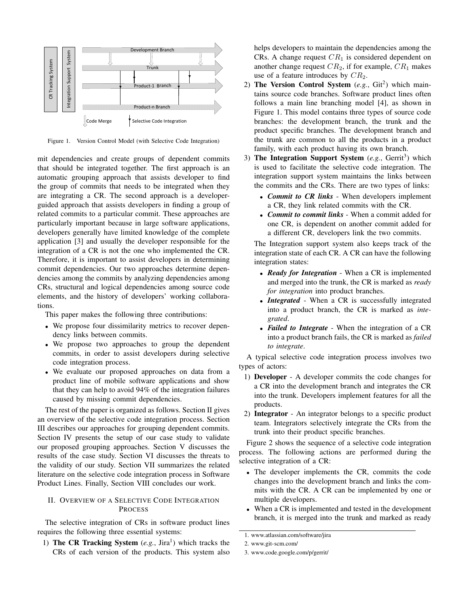

Figure 1. Version Control Model (with Selective Code Integration)

mit dependencies and create groups of dependent commits that should be integrated together. The first approach is an automatic grouping approach that assists developer to find the group of commits that needs to be integrated when they are integrating a CR. The second approach is a developerguided approach that assists developers in finding a group of related commits to a particular commit. These approaches are particularly important because in large software applications, developers generally have limited knowledge of the complete application [3] and usually the developer responsible for the integration of a CR is not the one who implemented the CR. Therefore, it is important to assist developers in determining commit dependencies. Our two approaches determine dependencies among the commits by analyzing dependencies among CRs, structural and logical dependencies among source code elements, and the history of developers' working collaborations.

This paper makes the following three contributions:

- We propose four dissimilarity metrics to recover dependency links between commits.
- We propose two approaches to group the dependent commits, in order to assist developers during selective code integration process.
- We evaluate our proposed approaches on data from a product line of mobile software applications and show that they can help to avoid 94% of the integration failures caused by missing commit dependencies.

The rest of the paper is organized as follows. Section II gives an overview of the selective code integration process. Section III describes our approaches for grouping dependent commits. Section IV presents the setup of our case study to validate our proposed grouping approaches. Section V discusses the results of the case study. Section VI discusses the threats to the validity of our study. Section VII summarizes the related literature on the selective code integration process in Software Product Lines. Finally, Section VIII concludes our work.

## II. OVERVIEW OF A SELECTIVE CODE INTEGRATION PROCESS

The selective integration of CRs in software product lines requires the following three essential systems:

1) The CR Tracking System  $(e.g., Jira<sup>1</sup>)$  which tracks the CRs of each version of the products. This system also helps developers to maintain the dependencies among the CRs. A change request  $CR_1$  is considered dependent on another change request  $CR_2$ , if for example,  $CR_1$  makes use of a feature introduces by  $CR<sub>2</sub>$ .

- 2) The Version Control System (e.g., Git<sup>2</sup>) which maintains source code branches. Software product lines often follows a main line branching model [4], as shown in Figure 1. This model contains three types of source code branches: the development branch, the trunk and the product specific branches. The development branch and the trunk are common to all the products in a product family, with each product having its own branch.
- 3) The Integration Support System (e.g., Gerrit<sup>3</sup>) which is used to facilitate the selective code integration. The integration support system maintains the links between the commits and the CRs. There are two types of links:
	- *Commit to CR links* When developers implement a CR, they link related commits with the CR.
	- *Commit to commit links* When a commit added for one CR, is dependent on another commit added for a different CR, developers link the two commits.

The Integration support system also keeps track of the integration state of each CR. A CR can have the following integration states:

- *Ready for Integration* When a CR is implemented and merged into the trunk, the CR is marked as *ready for integration* into product branches.
- *Integrated* When a CR is successfully integrated into a product branch, the CR is marked as *integrated*.
- *Failed to Integrate* When the integration of a CR into a product branch fails, the CR is marked as *failed to integrate*.

A typical selective code integration process involves two types of actors:

- 1) Developer A developer commits the code changes for a CR into the development branch and integrates the CR into the trunk. Developers implement features for all the products.
- 2) Integrator An integrator belongs to a specific product team. Integrators selectively integrate the CRs from the trunk into their product specific branches.

Figure 2 shows the sequence of a selective code integration process. The following actions are performed during the selective integration of a CR:

- The developer implements the CR, commits the code changes into the development branch and links the commits with the CR. A CR can be implemented by one or multiple developers.
- When a CR is implemented and tested in the development branch, it is merged into the trunk and marked as ready

<sup>1.</sup> www.atlassian.com/software/jira

<sup>2.</sup> www.git-scm.com/

<sup>3.</sup> www.code.google.com/p/gerrit/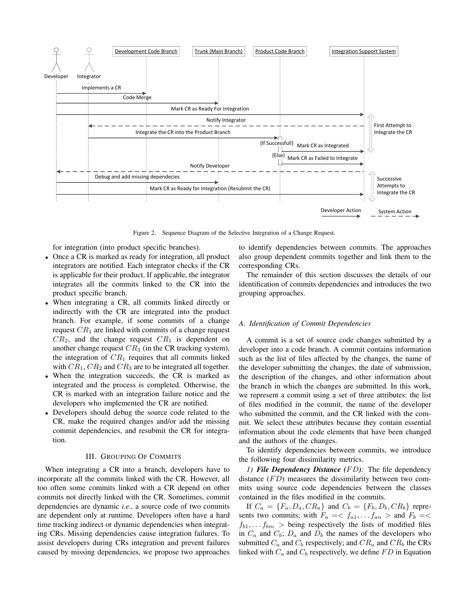

Figure 2. Sequence Diagram of the Selective Integration of a Change Request.

for integration (into product specific branches).

- Once a CR is marked as ready for integration, all product integrators are notified. Each integrator checks if the CR is applicable for their product. If applicable, the integrator integrates all the commits linked to the CR into the product specific branch.
- When integrating a CR, all commits linked directly or indirectly with the CR are integrated into the product branch. For example, if some commits of a change request  $CR<sub>1</sub>$  are linked with commits of a change request  $CR<sub>2</sub>$ , and the change request  $CR<sub>1</sub>$  is dependent on another change request  $CR_3$  (in the CR tracking system), the integration of  $CR_1$  requires that all commits linked with  $CR_1$ ,  $CR_2$  and  $CR_3$  are to be integrated all together.
- When the integration succeeds, the CR is marked as integrated and the process is completed. Otherwise, the CR is marked with an integration failure notice and the developers who implemented the CR are notified.
- Developers should debug the source code related to the CR, make the required changes and/or add the missing commit dependencies, and resubmit the CR for integration.

## III. GROUPING OF COMMITS

When integrating a CR into a branch, developers have to incorporate all the commits linked with the CR. However, all too often some commits linked with a CR depend on other commits not directly linked with the CR. Sometimes, commit dependencies are dynamic *i.e.*, a source code of two commits are dependent only at runtime. Developers often have a hard time tracking indirect or dynamic dependencies when integrating CRs. Missing dependencies cause integration failures. To assist developers during CRs integration and prevent failures caused by missing dependencies, we propose two approaches to identify dependencies between commits. The approaches also group dependent commits together and link them to the corresponding CRs.

The remainder of this section discusses the details of our identification of commits dependencies and introduces the two grouping approaches.

#### *A. Identification of Commit Dependencies*

A commit is a set of source code changes submitted by a developer into a code branch. A commit contains information such as the list of files affected by the changes, the name of the developer submitting the changes, the date of submission, the description of the changes, and other information about the branch in which the changes are submitted. In this work, we represent a commit using a set of three attributes: the list of files modified in the commit, the name of the developer who submitted the commit, and the CR linked with the commit. We select these attributes because they contain essential information about the code elements that have been changed and the authors of the changes.

To identify dependencies between commits, we introduce the following four dissimilarity metrics.

*1) File Dependency Distance (*F D*):* The file dependency distance  $(FD)$  measures the dissimilarity between two commits using source code dependencies between the classes contained in the files modified in the commits.

If  $C_a = \{F_a, D_a, CR_a\}$  and  $C_b = \{F_b, D_b, CR_b\}$  represents two commits; with  $F_a = \langle f_{a1}, \ldots, f_{an} \rangle$  and  $F_b = \langle f_{a1}, \ldots, f_{an} \rangle$  $f_{b1}, \ldots f_{bm}$  > being respectively the lists of modified files in  $C_a$  and  $C_b$ ;  $D_a$  and  $D_b$  the names of the developers who submitted  $C_a$  and  $C_b$  respectively; and  $CR_a$  and  $CR_b$  the CRs linked with  $C_a$  and  $C_b$  respectively, we define  $FD$  in Equation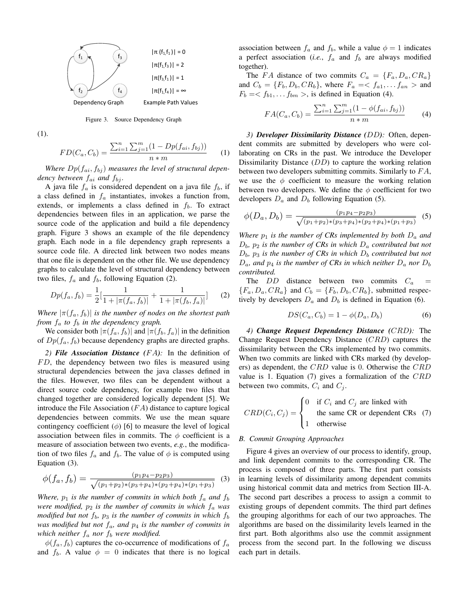

Figure 3. Source Dependency Graph

(1).

$$
FD(C_a, C_b) = \frac{\sum_{i=1}^{n} \sum_{j=1}^{m} (1 - Dp(f_{ai}, f_{bj}))}{n * m}
$$
 (1)

Where  $Dp(f_{ai}, f_{bi})$  measures the level of structural depen*dency between*  $f_{ai}$  *and*  $f_{bj}$ *.* 

A java file  $f_a$  is considered dependent on a java file  $f_b$ , if a class defined in  $f_a$  instantiates, invokes a function from, extends, or implements a class defined in  $f<sub>b</sub>$ . To extract dependencies between files in an application, we parse the source code of the application and build a file dependency graph. Figure 3 shows an example of the file dependency graph. Each node in a file dependency graph represents a source code file. A directed link between two nodes means that one file is dependent on the other file. We use dependency graphs to calculate the level of structural dependency between two files,  $f_a$  and  $f_b$ , following Equation (2).

$$
Dp(f_a, f_b) = \frac{1}{2} \left[ \frac{1}{1 + |\pi(f_a, f_b)|} + \frac{1}{1 + |\pi(f_b, f_a)|} \right] \tag{2}
$$

*Where*  $|\pi(f_a, f_b)|$  *is the number of nodes on the shortest path from*  $f_a$  *to*  $f_b$  *in the dependency graph.* 

We consider both  $|\pi(f_a, f_b)|$  and  $|\pi(f_b, f_a)|$  in the definition of  $Dp(f_a, f_b)$  because dependency graphs are directed graphs.

*2) File Association Distance (*F A*):* In the definition of  $FD$ , the dependency between two files is measured using structural dependencies between the java classes defined in the files. However, two files can be dependent without a direct source code dependency, for example two files that changed together are considered logically dependent [5]. We introduce the File Association  $(FA)$  distance to capture logical dependencies between commits. We use the mean square contingency coefficient  $(\phi)$  [6] to measure the level of logical association between files in commits. The  $\phi$  coefficient is a measure of association between two events, *e.g.*, the modification of two files  $f_a$  and  $f_b$ . The value of  $\phi$  is computed using Equation (3).

$$
\phi(f_a, f_b) = \frac{(p_1 p_4 - p_2 p_3)}{\sqrt{(p_1 + p_2) * (p_3 + p_4) * (p_2 + p_4) * (p_1 + p_3)}}
$$
(3)

*Where,*  $p_1$  *is the number of commits in which both*  $f_a$  *and*  $f_b$ *were modified,*  $p_2$  *is the number of commits in which*  $f_a$  *was modified but not*  $f_b$ ,  $p_3$  *is the number of commits in which*  $f_b$ *was modified but not*  $f_a$ *, and*  $p_4$  *is the number of commits in which neither*  $f_a$  *nor*  $f_b$  *were modified.* 

 $\phi(f_a, f_b)$  captures the co-occurrence of modifications of  $f_a$ and  $f_b$ . A value  $\phi = 0$  indicates that there is no logical association between  $f_a$  and  $f_b$ , while a value  $\phi = 1$  indicates a perfect association (*i.e.*,  $f_a$  and  $f_b$  are always modified together).

The FA distance of two commits  $C_a = \{F_a, D_a, CR_a\}$ and  $C_b = \{F_b, D_b, CR_b\}$ , where  $F_a = \{f_{a1}, \ldots, f_{an} > \text{and}$  $F_b = \langle f_{b1}, \dots f_{bm} \rangle$ , is defined in Equation (4).

$$
FA(C_a, C_b) = \frac{\sum_{i=1}^{n} \sum_{j=1}^{m} (1 - \phi(f_{ai}, f_{bj}))}{n * m}
$$
 (4)

*3) Developer Dissimilarity Distance (*DD*):* Often, dependent commits are submitted by developers who were collaborating on CRs in the past. We introduce the Developer Dissimilarity Distance  $(DD)$  to capture the working relation between two developers submitting commits. Similarly to  $FA$ , we use the  $\phi$  coefficient to measure the working relation between two developers. We define the  $\phi$  coefficient for two developers  $D_a$  and  $D_b$  following Equation (5).

$$
\phi(D_a, D_b) = \frac{(p_1 p_4 - p_2 p_3)}{\sqrt{(p_1 + p_2) \cdot (p_3 + p_4) \cdot (p_2 + p_4) \cdot (p_1 + p_3)}} \tag{5}
$$

*Where*  $p_1$  *is the number of CRs implemented by both*  $D_a$  *and*  $D_b$ ,  $p_2$  *is the number of CRs in which*  $D_a$  *contributed but not*  $D_b$ ,  $p_3$  *is the number of CRs in which*  $D_b$  *contributed but not*  $D_a$ , and  $p_4$  *is the number of CRs in which neither*  $D_a$  *nor*  $D_b$ *contributed.*

The  $DD$  distance between two commits  $C_a$  =  ${F_a, D_a, CR_a}$  and  $C_b = {F_b, D_b, CR_b}$ , submitted respectively by developers  $D_a$  and  $D_b$  is defined in Equation (6).

$$
DS(C_a, C_b) = 1 - \phi(D_a, D_b)
$$
 (6)

*4) Change Request Dependency Distance (*CRD*):* The Change Request Dependency Distance (CRD) captures the dissimilarity between the CRs implemented by two commits. When two commits are linked with CRs marked (by developers) as dependent, the CRD value is 0. Otherwise the CRD value is 1. Equation  $(7)$  gives a formalization of the  $CRD$ between two commits,  $C_i$  and  $C_j$ .

$$
CRD(C_i, C_j) = \begin{cases} 0 & \text{if } C_i \text{ and } C_j \text{ are linked with} \\ 1 & \text{otherwise} \end{cases}
$$
 (7)

## *B. Commit Grouping Approaches*

Figure 4 gives an overview of our process to identify, group, and link dependent commits to the corresponding CR. The process is composed of three parts. The first part consists in learning levels of dissimilarity among dependent commits using historical commit data and metrics from Section III-A. The second part describes a process to assign a commit to existing groups of dependent commits. The third part defines the grouping algorithms for each of our two approaches. The algorithms are based on the dissimilarity levels learned in the first part. Both algorithms also use the commit assignment process from the second part. In the following we discuss each part in details.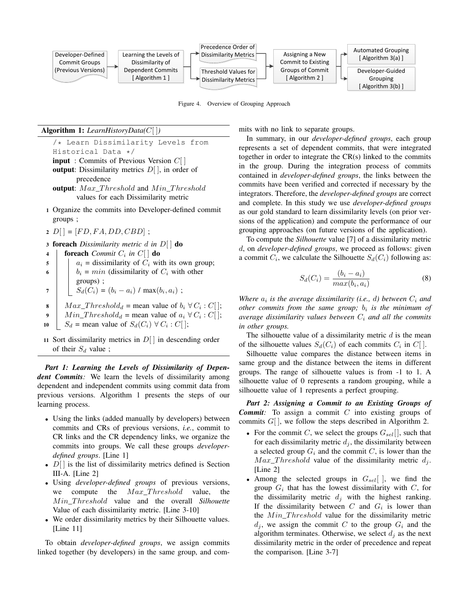

Figure 4. Overview of Grouping Approach

#### Algorithm 1: *LearnHistoryData(*C[ ]*)*

/\* Learn Dissimilarity Levels from Historical Data \*/ **input** : Commits of Previous Version  $C[\ ]$ **output:** Dissimilarity metrics  $D[\ ]$ , in order of precedence

- output:  $Max\_Threshold$  and  $Min\_Threshold$ values for each Dissimilarity metric
- 1 Organize the commits into Developer-defined commit groups ;
- $2\ D[] = [FD, FA, DD, CBD]$ ;
- <sup>3</sup> foreach *Dissimilarity metric* d *in* D[ ] do
- 4 **foreach** *Commit*  $C_i$  *in*  $C[$  **do**  $\mathfrak{s}$  |  $a_i$  = dissimilarity of  $C_i$  with its own group; 6 bi = min (dissimilarity of  $C_i$  with other groups) ; 7  $\big| \big| S_d(C_i) = (b_i - a_i) / \max(b_i, a_i)$ ; 8  $\big| Max\_Threshold_d =$  mean value of  $b_i \forall C_i : C[$ ; 9  $\parallel$   $Min\_Threshold_d =$  mean value of  $a_i \forall C_i : C[]$ ;
- 10  $S_d$  = mean value of  $S_d(C_i) \forall C_i : C[$ ;
- 11 Sort dissimilarity metrics in  $D[\ ]$  in descending order of their  $S_d$  value;

*Part 1: Learning the Levels of Dissimilarity of Dependent Commits:* We learn the levels of dissimilarity among dependent and independent commits using commit data from previous versions. Algorithm 1 presents the steps of our learning process.

- Using the links (added manually by developers) between commits and CRs of previous versions, *i.e.*, commit to CR links and the CR dependency links, we organize the commits into groups. We call these groups *developerdefined groups*. [Line 1]
- $D[$  is the list of dissimilarity metrics defined is Section III-A. [Line 2]
- Using *developer-defined groups* of previous versions, we compute the  $Max\_Threshold$  value, the  $Min\_Threshold$  value and the overall *Silhouette* Value of each dissimilarity metric. [Line 3-10]
- We order dissimilarity metrics by their Silhouette values. [Line 11]

To obtain *developer-defined groups*, we assign commits linked together (by developers) in the same group, and com-

In summary, in our *developer-defined groups*, each group represents a set of dependent commits, that were integrated together in order to integrate the CR(s) linked to the commits in the group. During the integration process of commits contained in *developer-defined groups*, the links between the commits have been verified and corrected if necessary by the integrators. Therefore, the *developer-defined groups* are correct and complete. In this study we use *developer-defined groups* as our gold standard to learn dissimilarity levels (on prior ver-

mits with no link to separate groups.

grouping approaches (on future versions of the application). To compute the *Silhouette* value [7] of a dissimilarity metric d, on *developer-defined groups*, we proceed as follows: given a commit  $C_i$ , we calculate the Silhouette  $S_d(C_i)$  following as:

sions of the application) and compute the performance of our

$$
S_d(C_i) = \frac{(b_i - a_i)}{max(b_i, a_i)}
$$
\n(8)

*Where*  $a_i$  *is the average dissimilarity (i.e., d) between*  $C_i$  *and other commits from the same group;*  $b_i$  *is the minimum of average dissimilarity values between*  $C_i$  *and all the commits in other groups.*

The silhouette value of a dissimilarity metric  $d$  is the mean of the silhouette values  $S_d(C_i)$  of each commits  $C_i$  in  $C[$ .

Silhouette value compares the distance between items in same group and the distance between the items in different groups. The range of silhouette values is from -1 to 1. A silhouette value of 0 represents a random grouping, while a silhouette value of 1 represents a perfect grouping.

*Part 2: Assigning a Commit to an Existing Groups of Commit:* To assign a commit C into existing groups of commits  $G[$ ], we follow the steps described in Algorithm 2.

- For the commit C, we select the groups  $G_{sel}$ ], such that for each dissimilarity metric  $d_i$ , the dissimilarity between a selected group  $G_i$  and the commit C, is lower than the  $Max\_Threshold$  value of the dissimilarity metric  $d_i$ . [Line 2]
- Among the selected groups in  $G_{\text{sel}}[$  , we find the group  $G_i$  that has the lowest dissimilarity with C, for the dissimilarity metric  $d_j$  with the highest ranking. If the dissimilarity between C and  $G_i$  is lower than the  $Min\ Threshold$  value for the dissimilarity metric  $d_j$ , we assign the commit C to the group  $G_i$  and the algorithm terminates. Otherwise, we select  $d_j$  as the next dissimilarity metric in the order of precedence and repeat the comparison. [Line 3-7]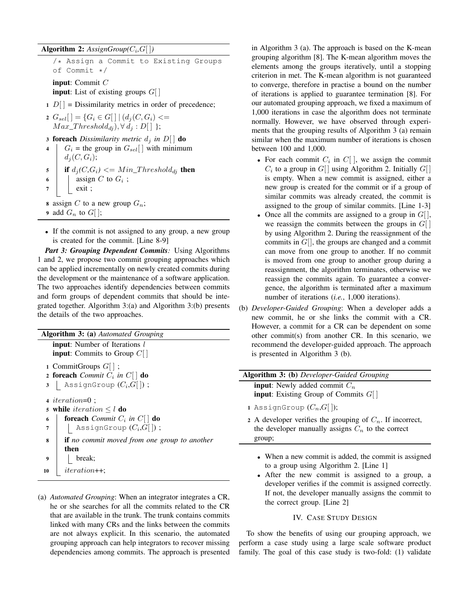## $\mathbf{Algorithm} \; \mathbf{2:} \; \mathbf{AssignGroup}(C_i, G[ \; ] )$

/\* Assign a Commit to Existing Groups of Commit \*/

input: Commit C **input:** List of existing groups  $G[$ 

 $1 D[$  = Dissimilarity metrics in order of precedence;

2  $G_{sel}$ [] = { $G_i \in G$ [] | ( $d_j(C, G_i)$  <=  $Max\_Threshold_{di}), \forall d_i : D[\ ]$  };

3 **foreach** *Dissimilarity metric*  $d_i$  *in*  $D[$  **do** 

4  $G_i$  = the group in  $G_{sel}$  with minimum  $d_i(C, G_i);$ 5 if  $d_j(C, G_i) \leq M in\_Threshold_{dj}$  then 6 assign C to  $G_i$ ; exit ;

8 assign C to a new group  $G_n$ ;

- 9 add  $G_n$  to  $G[$  ];
- If the commit is not assigned to any group, a new group is created for the commit. [Line 8-9]

*Part 3: Grouping Dependent Commits:* Using Algorithms 1 and 2, we propose two commit grouping approaches which can be applied incrementally on newly created commits during the development or the maintenance of a software application. The two approaches identify dependencies between commits and form groups of dependent commits that should be integrated together. Algorithm 3:(a) and Algorithm 3:(b) presents the details of the two approaches.

| <b>Algorithm 3: (a)</b> Automated Grouping                           |  |  |  |  |  |
|----------------------------------------------------------------------|--|--|--|--|--|
| <b>input:</b> Number of Iterations l                                 |  |  |  |  |  |
| <b>input:</b> Commits to Group $C  $                                 |  |  |  |  |  |
| 1 CommitGroups $G$   ;                                               |  |  |  |  |  |
| 2 foreach <i>Commit</i> $C_i$ in $C[\ ]$ do                          |  |  |  |  |  |
| AssignGroup $(C_i,G[$ );<br>3                                        |  |  |  |  |  |
|                                                                      |  |  |  |  |  |
| $\arrow$ <i>iteration</i> =0 :                                       |  |  |  |  |  |
| 5 while <i>iteration</i> $\leq$ <i>l</i> do                          |  |  |  |  |  |
| <b>foreach</b> <i>Commit</i> $C_i$ <i>in</i> $C \mid$ <b>do</b><br>6 |  |  |  |  |  |
| AssignGroup $(C_i,G[$ );<br>7                                        |  |  |  |  |  |
| <b>if</b> no commit moved from one group to another<br>8             |  |  |  |  |  |
| then                                                                 |  |  |  |  |  |
| break;<br>9                                                          |  |  |  |  |  |
| $iteration++$<br>10                                                  |  |  |  |  |  |

(a) *Automated Grouping*: When an integrator integrates a CR, he or she searches for all the commits related to the CR that are available in the trunk. The trunk contains commits linked with many CRs and the links between the commits are not always explicit. In this scenario, the automated grouping approach can help integrators to recover missing dependencies among commits. The approach is presented in Algorithm 3 (a). The approach is based on the K-mean grouping algorithm [8]. The K-mean algorithm moves the elements among the groups iteratively, until a stopping criterion in met. The K-mean algorithm is not guaranteed to converge, therefore in practise a bound on the number of iterations is applied to guarantee termination [8]. For our automated grouping approach, we fixed a maximum of 1,000 iterations in case the algorithm does not terminate normally. However, we have observed through experiments that the grouping results of Algorithm 3 (a) remain similar when the maximum number of iterations is chosen between 100 and 1,000.

- For each commit  $C_i$  in  $C[$ ], we assign the commit  $C_i$  to a group in  $G[$ ] using Algorithm 2. Initially  $G[$ ] is empty. When a new commit is assigned, either a new group is created for the commit or if a group of similar commits was already created, the commit is assigned to the group of similar commits. [Line 1-3]
- Once all the commits are assigned to a group in  $G[$ , we reassign the commits between the groups in  $G[$ by using Algorithm 2. During the reassignment of the commits in  $G[$ , the groups are changed and a commit can move from one group to another. If no commit is moved from one group to another group during a reassignment, the algorithm terminates, otherwise we reassign the commits again. To guarantee a convergence, the algorithm is terminated after a maximum number of iterations (*i.e.*, 1,000 iterations).
- (b) *Developer-Guided Grouping*: When a developer adds a new commit, he or she links the commit with a CR. However, a commit for a CR can be dependent on some other commit(s) from another CR. In this scenario, we recommend the developer-guided approach. The approach is presented in Algorithm 3 (b).

| <b>Algorithm 3: (b)</b> Developer-Guided Grouping            |  |  |  |  |
|--------------------------------------------------------------|--|--|--|--|
| <b>input:</b> Newly added commit $C_n$                       |  |  |  |  |
| <b>input:</b> Existing Group of Commits $G[$                 |  |  |  |  |
| 1 AssignGroup $(C_n,G  )$ ;                                  |  |  |  |  |
| 2 A developer verifies the grouping of $C_n$ . If incorrect, |  |  |  |  |
| the developer manually assigns $C_n$ to the correct          |  |  |  |  |
| group;                                                       |  |  |  |  |
|                                                              |  |  |  |  |
| • When a new commit is added, the commit is assigned         |  |  |  |  |
|                                                              |  |  |  |  |
| to a group using Algorithm 2. [Line 1]                       |  |  |  |  |
| • After the new commit is assigned to a group, a             |  |  |  |  |
| developer verifies if the commit is assigned correctly.      |  |  |  |  |
| If not, the developer manually assigns the commit to         |  |  |  |  |

## IV. CASE STUDY DESIGN

the correct group. [Line 2]

To show the benefits of using our grouping approach, we perform a case study using a large scale software product family. The goal of this case study is two-fold: (1) validate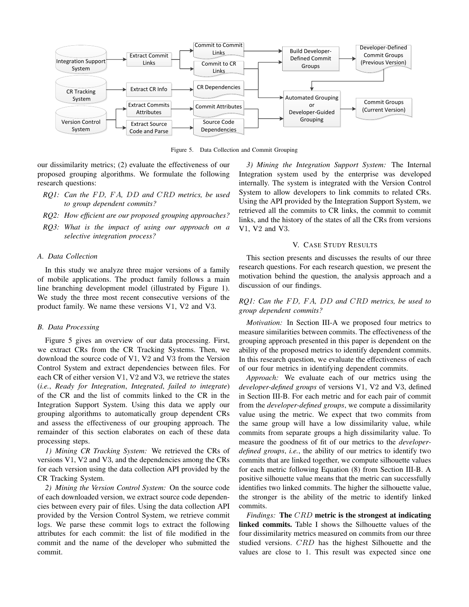

Figure 5. Data Collection and Commit Grouping

our dissimilarity metrics; (2) evaluate the effectiveness of our proposed grouping algorithms. We formulate the following research questions:

- *RQ1: Can the* F D*,* F A*,* DD *and* CRD *metrics, be used to group dependent commits?*
- *RQ2: How efficient are our proposed grouping approaches?*
- *RQ3: What is the impact of using our approach on a selective integration process?*

## *A. Data Collection*

In this study we analyze three major versions of a family of mobile applications. The product family follows a main line branching development model (illustrated by Figure 1). We study the three most recent consecutive versions of the product family. We name these versions V1, V2 and V3.

#### *B. Data Processing*

Figure 5 gives an overview of our data processing. First, we extract CRs from the CR Tracking Systems. Then, we download the source code of V1, V2 and V3 from the Version Control System and extract dependencies between files. For each CR of either version V1, V2 and V3, we retrieve the states (*i.e.*, *Ready for Integration*, *Integrated*, *failed to integrate*) of the CR and the list of commits linked to the CR in the Integration Support System. Using this data we apply our grouping algorithms to automatically group dependent CRs and assess the effectiveness of our grouping approach. The remainder of this section elaborates on each of these data processing steps.

*1) Mining CR Tracking System:* We retrieved the CRs of versions V1, V2 and V3, and the dependencies among the CRs for each version using the data collection API provided by the CR Tracking System.

*2) Mining the Version Control System:* On the source code of each downloaded version, we extract source code dependencies between every pair of files. Using the data collection API provided by the Version Control System, we retrieve commit logs. We parse these commit logs to extract the following attributes for each commit: the list of file modified in the commit and the name of the developer who submitted the commit.

*3) Mining the Integration Support System:* The Internal Integration system used by the enterprise was developed internally. The system is integrated with the Version Control System to allow developers to link commits to related CRs. Using the API provided by the Integration Support System, we retrieved all the commits to CR links, the commit to commit links, and the history of the states of all the CRs from versions V1, V2 and V3.

## V. CASE STUDY RESULTS

This section presents and discusses the results of our three research questions. For each research question, we present the motivation behind the question, the analysis approach and a discussion of our findings.

## *RQ1: Can the* F D*,* F A*,* DD *and* CRD *metrics, be used to group dependent commits?*

*Motivation:* In Section III-A we proposed four metrics to measure similarities between commits. The effectiveness of the grouping approach presented in this paper is dependent on the ability of the proposed metrics to identify dependent commits. In this research question, we evaluate the effectiveness of each of our four metrics in identifying dependent commits.

*Approach:* We evaluate each of our metrics using the *developer-defined groups* of versions V1, V2 and V3, defined in Section III-B. For each metric and for each pair of commit from the *developer-defined groups*, we compute a dissimilarity value using the metric. We expect that two commits from the same group will have a low dissimilarity value, while commits from separate groups a high dissimilarity value. To measure the goodness of fit of our metrics to the *developerdefined groups*, *i.e.*, the ability of our metrics to identify two commits that are linked together, we compute silhouette values for each metric following Equation (8) from Section III-B. A positive silhouette value means that the metric can successfully identifies two linked commits. The higher the silhouette value, the stronger is the ability of the metric to identify linked commits.

*Findings:* The CRD metric is the strongest at indicating linked commits. Table I shows the Silhouette values of the four dissimilarity metrics measured on commits from our three studied versions. CRD has the highest Silhouette and the values are close to 1. This result was expected since one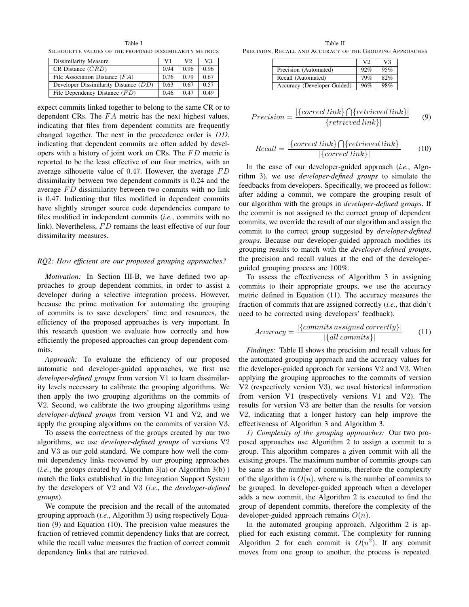Table I SILHOUETTE VALUES OF THE PROPOSED DISSIMILARITY METRICS

| Dissimilarity Measure                 | V1   | V2   | V3.  |
|---------------------------------------|------|------|------|
| $CR$ Distance $(CRD)$                 | 0.94 | 0.96 | 0.96 |
| File Association Distance $(FA)$      | 0.76 | 0.79 | 0.67 |
| Developer Dissimilarity Distance (DD) | 0.63 | 0.67 | 0.57 |
| File Dependency Distance $(FD)$       | 0.46 | 0.47 | 0.49 |

expect commits linked together to belong to the same CR or to dependent CRs. The  $FA$  metric has the next highest values, indicating that files from dependent commits are frequently changed together. The next in the precedence order is DD, indicating that dependent commits are often added by developers with a history of joint work on CRs. The  $FD$  metric is reported to be the least effective of our four metrics, with an average silhouette value of 0.47. However, the average  $FD$ dissimilarity between two dependent commits is 0.24 and the average  $FD$  dissimilarity between two commits with no link is 0.47. Indicating that files modified in dependent commits have slightly stronger source code dependencies compare to files modified in independent commits (*i.e.*, commits with no link). Nevertheless, FD remains the least effective of our four dissimilarity measures.

## *RQ2: How efficient are our proposed grouping approaches?*

*Motivation:* In Section III-B, we have defined two approaches to group dependent commits, in order to assist a developer during a selective integration process. However, because the prime motivation for automating the grouping of commits is to save developers' time and resources, the efficiency of the proposed approaches is very important. In this research question we evaluate how correctly and how efficiently the proposed approaches can group dependent commits.

*Approach:* To evaluate the efficiency of our proposed automatic and developer-guided approaches, we first use *developer-defined groups* from version V1 to learn dissimilarity levels necessary to calibrate the grouping algorithms. We then apply the two grouping algorithms on the commits of V2. Second, we calibrate the two grouping algorithms using *developer-defined groups* from version V1 and V2, and we apply the grouping algorithms on the commits of version V3.

To assess the correctness of the groups created by our two algorithms, we use *developer-defined groups* of versions V2 and V3 as our gold standard. We compare how well the commit dependency links recovered by our grouping approaches (*i.e.*, the groups created by Algorithm  $3(a)$  or Algorithm  $3(b)$ ) match the links established in the Integration Support System by the developers of V2 and V3 (*i.e.*, the *developer-defined groups*).

We compute the precision and the recall of the automated grouping approach (*i.e.*, Algorithm 3) using respectively Equation (9) and Equation (10). The precision value measures the fraction of retrieved commit dependency links that are correct, while the recall value measures the fraction of correct commit dependency links that are retrieved.

Table II PRECISION, RECALL AND ACCURACY OF THE GROUPING APPROACHES

|                             | V <sub>2</sub> | V3  |
|-----------------------------|----------------|-----|
| Precision (Automated)       | 92%            | 95% |
| Recall (Automated)          | 79%            | 82% |
| Accuracy (Developer-Guided) | 96%            | 98% |

$$
Precision = \frac{|\{correct\ link\} \bigcap \{retrieved\ link\}|}{|\{retrieved\ link\}|} \tag{9}
$$

$$
Recall = \frac{|\{correct\ link\} \bigcap \{retrieved\ link\}|}{|\{correct\ link\}|} \tag{10}
$$

In the case of our developer-guided approach (*i.e.*, Algorithm 3), we use *developer-defined groups* to simulate the feedbacks from developers. Specifically, we proceed as follow: after adding a commit, we compare the grouping result of our algorithm with the groups in *developer-defined groups*. If the commit is not assigned to the correct group of dependent commits, we override the result of our algorithm and assign the commit to the correct group suggested by *developer-defined groups*. Because our developer-guided approach modifies its grouping results to match with the *developer-defined groups*, the precision and recall values at the end of the developerguided grouping process are 100%.

To assess the effectiveness of Algorithm 3 in assigning commits to their appropriate groups, we use the accuracy metric defined in Equation (11). The accuracy measures the fraction of commits that are assigned correctly (*i.e.*, that didn't need to be corrected using developers' feedback).

$$
Accuracy = \frac{|\{commits\ assigned\ correctly\}|}{|\{all\ commits\}|} \tag{11}
$$

*Findings:* Table II shows the precision and recall values for the automated grouping approach and the accuracy values for the developer-guided approach for versions V2 and V3. When applying the grouping approaches to the commits of version V2 (respectively version V3), we used historical information from version V1 (respectively versions V1 and V2). The results for version V3 are better than the results for version V2, indicating that a longer history can help improve the effectiveness of Algorithm 3 and Algorithm 3.

*1) Complexity of the grouping approaches:* Our two proposed approaches use Algorithm 2 to assign a commit to a group. This algorithm compares a given commit with all the existing groups. The maximum number of commits groups can be same as the number of commits, therefore the complexity of the algorithm is  $O(n)$ , where n is the number of commits to be grouped. In developer-guided approach when a developer adds a new commit, the Algorithm 2 is executed to find the group of dependent commits, therefore the complexity of the developer-guided approach remains  $O(n)$ .

In the automated grouping approach, Algorithm 2 is applied for each existing commit. The complexity for running Algorithm 2 for each commit is  $O(n^2)$ . If any commit moves from one group to another, the process is repeated.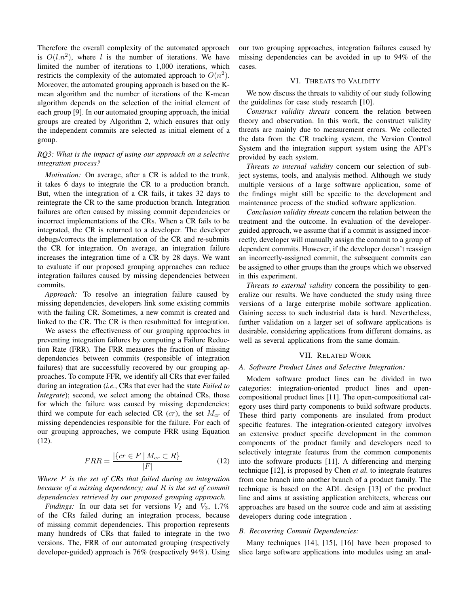Therefore the overall complexity of the automated approach is  $O(l.n^2)$ , where l is the number of iterations. We have limited the number of iterations to 1,000 iterations, which restricts the complexity of the automated approach to  $O(n^2)$ . Moreover, the automated grouping approach is based on the Kmean algorithm and the number of iterations of the K-mean algorithm depends on the selection of the initial element of each group [9]. In our automated grouping approach, the initial groups are created by Algorithm 2, which ensures that only the independent commits are selected as initial element of a group.

## *RQ3: What is the impact of using our approach on a selective integration process?*

*Motivation:* On average, after a CR is added to the trunk, it takes 6 days to integrate the CR to a production branch. But, when the integration of a CR fails, it takes 32 days to reintegrate the CR to the same production branch. Integration failures are often caused by missing commit dependencies or incorrect implementations of the CRs. When a CR fails to be integrated, the CR is returned to a developer. The developer debugs/corrects the implementation of the CR and re-submits the CR for integration. On average, an integration failure increases the integration time of a CR by 28 days. We want to evaluate if our proposed grouping approaches can reduce integration failures caused by missing dependencies between commits.

*Approach:* To resolve an integration failure caused by missing dependencies, developers link some existing commits with the failing CR. Sometimes, a new commit is created and linked to the CR. The CR is then resubmitted for integration.

We assess the effectiveness of our grouping approaches in preventing integration failures by computing a Failure Reduction Rate (FRR). The FRR measures the fraction of missing dependencies between commits (responsible of integration failures) that are successfully recovered by our grouping approaches. To compute FFR, we identify all CRs that ever failed during an integration (*i.e.*, CRs that ever had the state *Failed to Integrate*); second, we select among the obtained CRs, those for which the failure was caused by missing dependencies; third we compute for each selected CR  $(cr)$ , the set  $M_{cr}$  of missing dependencies responsible for the failure. For each of our grouping approaches, we compute FRR using Equation (12).

$$
FRR = \frac{|\{cr \in F \mid M_{cr} \subset R\}|}{|F|} \tag{12}
$$

*Where* F *is the set of CRs that failed during an integration because of a missing dependency; and* R *is the set of commit dependencies retrieved by our proposed grouping approach.*

*Findings:* In our data set for versions  $V_2$  and  $V_3$ , 1.7% of the CRs failed during an integration process, because of missing commit dependencies. This proportion represents many hundreds of CRs that failed to integrate in the two versions. The, FRR of our automated grouping (respectively developer-guided) approach is 76% (respectively 94%). Using our two grouping approaches, integration failures caused by missing dependencies can be avoided in up to 94% of the cases.

## VI. THREATS TO VALIDITY

We now discuss the threats to validity of our study following the guidelines for case study research [10].

*Construct validity threats* concern the relation between theory and observation. In this work, the construct validity threats are mainly due to measurement errors. We collected the data from the CR tracking system, the Version Control System and the integration support system using the API's provided by each system.

*Threats to internal validity* concern our selection of subject systems, tools, and analysis method. Although we study multiple versions of a large software application, some of the findings might still be specific to the development and maintenance process of the studied software application.

*Conclusion validity threats* concern the relation between the treatment and the outcome. In evaluation of the developerguided approach, we assume that if a commit is assigned incorrectly, developer will manually assign the commit to a group of dependent commits. However, if the developer doesn't reassign an incorrectly-assigned commit, the subsequent commits can be assigned to other groups than the groups which we observed in this experiment.

*Threats to external validity* concern the possibility to generalize our results. We have conducted the study using three versions of a large enterprise mobile software application. Gaining access to such industrial data is hard. Nevertheless, further validation on a larger set of software applications is desirable, considering applications from different domains, as well as several applications from the same domain.

#### VII. RELATED WORK

### *A. Software Product Lines and Selective Integration:*

Modern software product lines can be divided in two categories: integration-oriented product lines and opencompositional product lines [11]. The open-compositional category uses third party components to build software products. These third party components are insulated from product specific features. The integration-oriented category involves an extensive product specific development in the common components of the product family and developers need to selectively integrate features from the common components into the software products [11]. A differencing and merging technique [12], is proposed by Chen *et al.* to integrate features from one branch into another branch of a product family. The technique is based on the ADL design [13] of the product line and aims at assisting application architects, whereas our approaches are based on the source code and aim at assisting developers during code integration .

## *B. Recovering Commit Dependencies:*

Many techniques [14], [15], [16] have been proposed to slice large software applications into modules using an anal